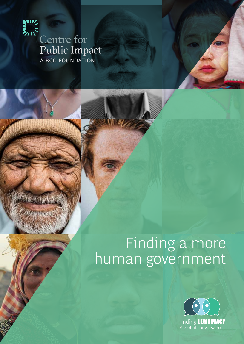

# Earth<br>Centre for<br>Public Imp Public Impact

## Finding a more human government

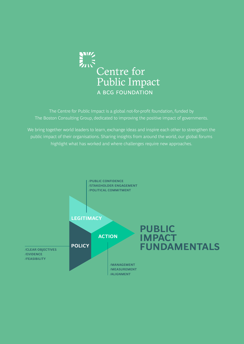

The Centre for Public Impact is a global not-for-profit foundation, funded by The Boston Consulting Group, dedicated to improving the positive impact of governments.

We bring together world leaders to learn, exchange ideas and inspire each other to strengthen the public impact of their organisations. Sharing insights from around the world, our global forums highlight what has worked and where challenges require new approaches.

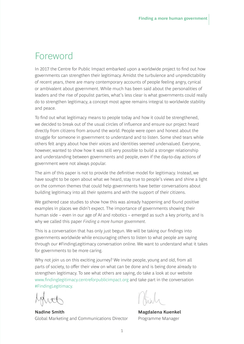### Foreword

In 2017 the Centre for Public Impact embarked upon a worldwide project to find out how governments can strengthen their legitimacy. Amidst the turbulence and unpredictability of recent years, there are many contemporary accounts of people feeling angry, cynical or ambivalent about government. While much has been said about the personalities of leaders and the rise of populist parties, what's less clear is what governments could really do to strengthen legitimacy, a concept most agree remains integral to worldwide stability and peace.

To find out what legitimacy means to people today and how it could be strengthened, we decided to break out of the usual circles of influence and ensure our project heard directly from citizens from around the world. People were open and honest about the struggle for someone in government to understand and to listen. Some shed tears while others felt angry about how their voices and identities seemed undervalued. Everyone, however, wanted to show how it was still very possible to build a stronger relationship and understanding between governments and people, even if the day-to-day actions of government were not always popular.

The aim of this paper is not to provide the definitive model for legitimacy. Instead, we have sought to be open about what we heard, stay true to people's views and shine a light on the common themes that could help governments have better conversations about building legitimacy into all their systems and with the support of their citizens.

We gathered case studies to show how this was already happening and found positive examples in places we didn't expect. The importance of governments showing their human side – even in our age of AI and robotics – emerged as such a key priority, and is why we called this paper *Finding a more human government*.

This is a conversation that has only just begun. We will be taking our findings into governments worldwide while encouraging others to listen to what people are saying through our #FindingLegitimacy conversation online. We want to understand what it takes for governments to be more caring.

Why not join us on this exciting journey? We invite people, young and old, from all parts of society, to offer their view on what can be done and is being done already to strengthen legitimacy. To see what others are saying, do take a look at our website www.findinglegitimacy.centreforpublicimpact.org and take part in the conversation #FindingLegitimacy.

**Nadine Smith Magdalena Kuenkel** Global Marketing and Communications Director Programme Manager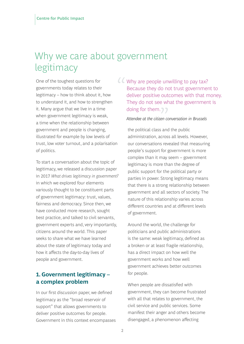## Why we care about government legitimacy

One of the toughest questions for governments today relates to their legitimacy – how to think about it, how to understand it, and how to strengthen it. Many argue that we live in a time when government legitimacy is weak, a time when the relationship between government and people is changing, illustrated for example by low levels of trust, low voter turnout, and a polarisation of politics.

To start a conversation about the topic of legitimacy, we released a discussion paper in 2017 *What drives legitimacy in government?* in which we explored four elements variously thought to be constituent parts of government legitimacy: trust, values, fairness and democracy. Since then, we have conducted more research, sought best practice, and talked to civil servants, government experts and, very importantly, citizens around the world. This paper seeks to share what we have learned about the state of legitimacy today and how it affects the day-to-day lives of people and government.

#### **1. Government legitimacy – a complex problem**

In our first discussion paper, we defined legitimacy as the "broad reservoir of support" that allows governments to deliver positive outcomes for people. Government in this context encompasses

doing for them.<br>
Attendee at the citizen contract the political class and *"* Why are people unwilling to pay tax? Because they do not trust government to deliver positive outcomes with that money. They do not see what the government is

#### *Attendee at the citizen conversation in Brussels*

the political class and the public administration, across all levels. However, our conversations revealed that measuring people's support for government is more complex than it may seem – government legitimacy is more than the degree of public support for the political party or parties in power. Strong legitimacy means that there is a strong relationship between government and all sectors of society. The nature of this relationship varies across different countries and at different levels of government.

Around the world, the challenge for politicians and public administrations is the same: weak legitimacy, defined as a broken or at least fragile relationship, has a direct impact on how well the government works and how well government achieves better outcomes for people.

When people are dissatisfied with government, they can become frustrated with all that relates to government, the civil service and public services. Some manifest their anger and others become disengaged, a phenomenon affecting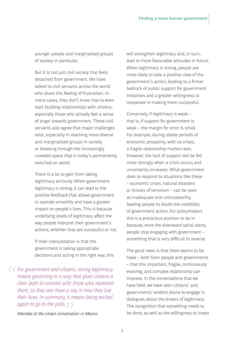younger people and marginalised groups of society in particular.

But it is not just civil society that feels detached from government. We have talked to civil servants across the world who share this feeling of frustration. In many cases, they don't know how to even start building relationships with citizens, especially those who already feel a sense of anger towards government. These civil servants also agree that major challenges exist, especially in reaching more diverse and marginalised groups in society or breaking through the increasingly crowded space that is today's permanently switched on world.

There is a lot to gain from taking legitimacy seriously. When government legitimacy is strong, it can lead to the positive feedback that allows government to operate smoothly and have a greater impact on people's lives. This is because underlying levels of legitimacy affect the way people interpret their government's actions, whether they are successful or not.

If their interpretation is that the government is taking appropriate decisions and acting in the right way, this

*" For government and citizens, strong legitimacy means governing in a way that gives citizens a clear path to connect with those who represent them, so they can have a say in how they live their lives. In summary, it means being excited*  again to go to the polls.<br>Attendee at the citizen conversat

*Attendee at the citizen conversation in Mexico*

will strengthen legitimacy and, in turn, lead to more favourable attitudes in future. When legitimacy is strong, people are more likely to take a positive view of the government's action, leading to a firmer bedrock of public support for government initiatives and a greater willingness to cooperate in making them successful.

Conversely, if legitimacy is weak – that is, if support for government is weak – the margin for error is small. For example, during stable periods of economic prosperity, with no crises, a fragile relationship matters less. However, the lack of support will be felt more strongly when a crisis occurs and uncertainty increases. What government does to respond to situations like these – economic crises, natural disasters or threats of terrorism – can be seen as inadequate and untrustworthy, leading people to doubt the credibility of government action. For policymakers this is a precarious position to be in because, once the downward spiral starts, people stop engaging with government – something that is very difficult to reverse.

The good news is that there seems to be hope – both from people and governments – that this important, fragile, continuously evolving, and complex relationship can improve. In the conversations that we have held, we have seen citizens' and governments' evident desire to engage in dialogues about the drivers of legitimacy. The recognition that something needs to be done, as well as the willingness to invest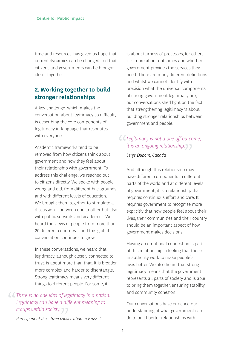time and resources, has given us hope that current dynamics can be changed and that citizens and governments can be brought closer together.

#### **2. Working together to build stronger relationships**

A key challenge, which makes the conversation about legitimacy so difficult, is describing the core components of legitimacy in language that resonates with everyone.

Academic frameworks tend to be removed from how citizens think about government and how they feel about their relationship with government. To address this challenge, we reached out to citizens directly. We spoke with people young and old, from different backgrounds and with different levels of education. We brought them together to stimulate a discussion – between one another but also with public servants and academics. We heard the views of people from more than 20 different countries – and this global conversation continues to grow.

In these conversations, we heard that legitimacy, although closely connected to trust, is about more than that. It is broader, more complex and harder to disentangle. Strong legitimacy means very different things to different people. For some, it

## *" There is no one idea of legitimacy in a nation. Legitimacy can have a different meaning to*  groups within society.<br>Participant at the citizen conv

is about fairness of processes, for others it is more about outcomes and whether government provides the services they need. There are many different definitions, and whilst we cannot identify with precision what the universal components of strong government legitimacy are, our conversations shed light on the fact that strengthening legitimacy is about building stronger relationships between government and people.

## *" Legitimacy is not a one-off outcome;*  it is an ongoing relationship.<br>Serge Dupont, Canada<br>

#### *Serge Dupont, Canada*

And although this relationship may have different components in different parts of the world and at different levels of government, it is a relationship that requires continuous effort and care. It requires government to recognise more explicitly that how people feel about their lives, their communities and their country should be an important aspect of how government makes decisions.

Having an emotional connection is part of this relationship, a feeling that those in authority work to make people's lives better. We also heard that strong legitimacy means that the government represents all parts of society and is able to bring them together, ensuring stability and community cohesion.

Our conversations have enriched our understanding of what government can do to build better relationships with

*Participant at the citizen conversation in Brussels*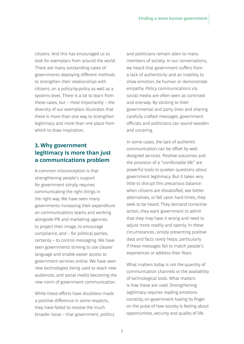citizens. And this has encouraged us to look for exemplars from around the world. There are many outstanding cases of governments deploying different methods to strengthen their relationships with citizens, on a policy-by-policy as well as a systems level. There is a lot to learn from these cases, but – most importantly – the diversity of our exemplars illustrates that there is more than one way to strengthen legitimacy and more than one place from which to draw inspiration.

#### **3. Why government legitimacy is more than just a communications problem**

A common misconception is that strengthening people's support for government simply requires communicating the right things in the right way. We have seen many governments increasing their expenditure on communications teams and working alongside PR and marketing agencies to project their image, to encourage compliance, and – for political parties, certainly – to control messaging. We have seen governments striving to use clearer language and enable easier access to government services online. We have seen new technologies being used to reach new audiences, and social media becoming the new norm of government communication.

While these efforts have doubtless made a positive difference in some respects, they have failed to resolve the much broader issue – that government, politics

and politicians remain alien to many members of society. In our conversations, we heard that government suffers from a lack of authenticity and an inability to show emotion, be human or demonstrate empathy. Policy communications via social media are often seen as contrived and one-way. By sticking to their governmental and party lines and sharing carefully crafted messages, government officials and politicians can sound wooden and uncaring.

In some cases, the lack of authentic communication can be offset by welldesigned services. Positive outcomes and the provision of a "comfortable life" are powerful tools to quieten questions about government legitimacy. But it takes very little to disrupt this precarious balance: when citizens are dissatisfied, see better alternatives, or fall upon hard times, they seek to be heard. They demand corrective action, they want government to admit that they may have it wrong and need to adjust more readily and openly. In these circumstances, simply presenting positive data and facts rarely helps, particularly if these messages fail to match people's experiences or address their fears.

What matters today is not the quantity of communication channels or the availability of technological tools. What matters is how these are used. Strengthening legitimacy requires reading emotions correctly, on government having its finger on the pulse of how society is feeling about opportunities, security and quality of life.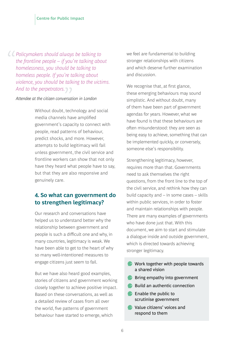*" Policymakers should always be talking to the frontline people – if you're talking about homelessness, you should be talking to homeless people. If you're talking about violence, you should be talking to the victims. And to the perpetrators.*<br> *Attendee at the citizen conversat* 

#### *Attendee at the citizen conversation in London*

Without doubt, technology and social media channels have amplified government's capacity to connect with people, read patterns of behaviour, predict shocks, and more. However, attempts to build legitimacy will fail unless government, the civil service and frontline workers can show that not only have they heard what people have to say, but that they are also responsive and genuinely care.

#### **4. So what can government do to strengthen legitimacy?**

Our research and conversations have helped us to understand better why the relationship between government and people is such a difficult one and why, in many countries, legitimacy is weak. We have been able to get to the heart of why so many well-intentioned measures to engage citizens just seem to fail.

But we have also heard good examples, stories of citizens and government working closely together to achieve positive impact. Based on these conversations, as well as a detailed review of cases from all over the world, five patterns of government behaviour have started to emerge, which

we feel are fundamental to building stronger relationships with citizens and which deserve further examination and discussion.

We recognise that, at first glance, these emerging behaviours may sound simplistic. And without doubt, many of them have been part of government agendas for years. However, what we have found is that these behaviours are often misunderstood: they are seen as being easy to achieve, something that can be implemented quickly, or conversely, someone else's responsibility.

Strengthening legitimacy, however, requires more than that. Governments need to ask themselves the right questions, from the front line to the top of the civil service, and rethink how they can build capacity and – in some cases – skills within public services, in order to foster and maintain relationships with people. There are many examples of governments who have done just that. With this document, we aim to start and stimulate a dialogue inside and outside government, which is directed towards achieving stronger legitimacy.

- Work together with people towards a shared vision
- **Bring empathy into government**
- Build an authentic connection
- **Enable the public to** scrutinise government
- **C** Value citizens' voices and respond to them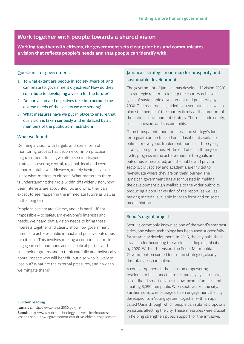#### **Work together with people towards a shared vision**

**Working together with citizens, the government sets clear priorities and communicates a vision that reflects people's needs and that people can identify with.**

#### Questions for government:

- 1. To what extent are people in society aware of, and can relate to, government objectives? How do they contribute to developing a vision for the future?
- 2. Do our vision and objectives take into account the diverse needs of the society we are serving?
- 3. What measures have we put in place to ensure that our vision is taken seriously and embraced by all members of the public administration?

#### What we found:

Defining a vision with targets and some form of monitoring process has become common practice in government. In fact, we often see multilayered strategies covering central, regional, local and even departmental levels. However, merely having a vision is not what matters to citizens. What matters to them is understanding their role within this wider vision, how their interests are accounted for, and what they can expect to see happen in the immediate future as well as in the long term.

People in society are diverse, and it is hard – if not impossible – to safeguard everyone's interests and needs. We heard that a vision needs to bring these interests together and clearly show how government intends to achieve public impact and positive outcomes for citizens. This involves making a conscious effort to engage in collaborations across political parties and stakeholder groups and to think carefully and holistically about impact: who will benefit, but also who is likely to lose out? What are the external pressures, and how can we mitigate them?

#### **Further reading**

**Jamaica:** http://www.vision2030.gov.jm/ **Seoul:** http://www.publictechnology.net/articles/features/ lessons-seoul-how-egovernment-can-drive-citizen-engagement

#### Jamaica's strategic road map for prosperity and sustainable development

The government of Jamaica has developed "Vision 2030" – a strategic road map to help the country achieve its goals of sustainable development and prosperity by 2030. The road map is guided by seven principles which place the people of the country firmly at the forefront of the nation's development strategy. These include equity, social cohesion, and sustainability.

To be transparent about progress, the strategy's long term goals can be tracked on a dashboard available online for everyone. Implementation is in three-year, strategic programmes. At the end of each three-year cycle, progress in the achievement of the goals and outcomes is measured, and the public and private sectors, civil society and academia are invited to re-evaluate where they are on their journey. The Jamaican government has also invested in making the development plan available to the wider public by producing a popular version of the report, as well as making material available in video form and on social media platforms.

#### Seoul's digital project

Seoul is commonly known as one of the world's smartest cities, one where technology has been used successfully for smart city development. In 2016, the city published its vision for becoming the world's leading digital city by 2020. Within this vision, the Seoul Metropolitan Government presented four main strategies, clearly describing each initiative.

A core component is the focus on empowering residents to be connected to technology by distributing secondhand smart devices to low-income families and creating 3,590 free public Wi-Fi spots across the city. Furthermore, to encourage citizen engagement the city developed its mVoting system, together with an app called Oasis through which people can submit proposals on issues affecting the city. These measures were crucial in helping strengthen public support for the initiative.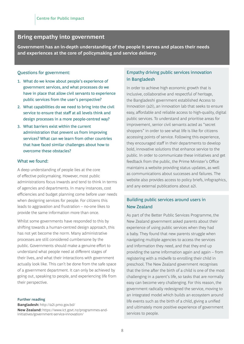#### **Bring empathy into government**

**Government has an in-depth understanding of the people it serves and places their needs and experiences at the core of policymaking and service delivery.** 

#### Questions for government:

- 1. What do we know about people's experience of government services, and what processes do we have in place that allow civil servants to experience public services from the user's perspective?
- 2. What capabilities do we need to bring into the civil service to ensure that staff at all levels think and design processes in a more people-centred way?
- 3. What barriers exist within the current administration that prevent us from improving services? What can we learn from other countries that have faced similar challenges about how to overcome these obstacles?

#### What we found:

A deep understanding of people lies at the core of effective policymaking. However, most public administrations focus inwards and tend to think in terms of agencies and departments. In many instances, cost efficiencies and budget planning come before user needs when designing services for people. For citizens this leads to aggravation and frustration – no-one likes to provide the same information more than once.

Whilst some governments have responded to this by shifting towards a human-centred design approach, this has not yet become the norm. Many administrative processes are still considered cumbersone by the public. Governments should make a genuine effort to understand what people need at different stages of their lives, and what their interactions with government actually look like. This can't be done from the safe space of a government department. It can only be achieved by going out, speaking to people, and experiencing life from their perspective.

#### **Further reading**

**Bangladesh:** http://a2i.pmo.gov.bd/ **New Zealand:** https://www.ict.govt.nz/programmes-andinitiatives/government-service-innovation/

#### Empathy driving public services innovation in Bangladesh

In order to achieve high economic growth that is inclusive, collaborative and respectful of heritage, the Bangladeshi government established Access to Innovation (a2i), an innovation lab that seeks to ensure easy, affordable and reliable access to high-quality, digital public services. To understand and prioritise areas for improvement, senior civil servants acted as "secret shoppers" in order to see what life is like for citizens accessing points of service. Following this experience, they encouraged staff in their departments to develop bold, innovative solutions that enhance service to the public. In order to communicate these initiatives and get feedback from the public, the Prime Minister's Office maintains a website providing status updates, as well as communications about successes and failures. The website also provides access to policy briefs, infographics, and any external publications about a2i.

#### Building public services around users in New Zealand

As part of the Better Public Services Programme, the New Zealand government asked parents about their experience of using public services when they had a baby. They found that new parents struggle when navigating multiple agencies to access the services and information they need, and that they end up providing the same information again and again – from registering with a midwife to enrolling their child in preschool. The New Zealand government recognises that the time after the birth of a child is one of the most challenging in a parent's life, so tasks that are normally easy can become very challenging. For this reason, the government radically redesigned the service, moving to an integrated model which builds an ecosystem around life events such as the birth of a child, giving a unified and ultimately more positive experience of government services to people.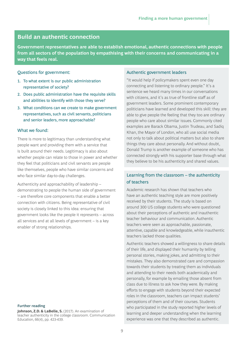#### **Build an authentic connection**

**Government representatives are able to establish emotional, authentic connections with people from all sectors of the population by empathising with their concerns and communicating in a way that feels real.** 

#### Questions for government:

- 1. To what extent is our public administration representative of society?
- 2. Does public administration have the requisite skills and abilities to identify with those they serve?
- 3. What conditions can we create to make government representatives, such as civil servants, politicians and senior leaders, more approachable?

#### What we found:

There is more to legitimacy than understanding what people want and providing them with a service that is built around their needs. Legitimacy is also about whether people can relate to those in power and whether they feel that politicians and civil servants are people like themselves, people who have similar concerns and who face similar day-to-day challenges.

Authenticity and approachability of leadership – demonstrating to people the human side of government – are therefore core components that enable a better connection with citizens. Being representative of civil society is closely linked to this idea: ensuring that government looks like the people it represents – across all services and at all levels of government – is a key enabler of strong relationships.

#### **Further reading**

Johnson, Z.D. & LaBelle, S. (2017). An examination of teacher authenticity in the college classroom. Communication Education, 66(4), pp. 423-439.

#### Authentic government leaders

"It would help if policymakers spent even one day connecting and listening to ordinary people." It's a sentence we heard many times in our conversations with citizens, and it's as true of frontline staff as of government leaders. Some prominent contemporary politicians have learned and developed this skill: they are able to give people the feeling that they too are ordinary people who care about similar issues. Commonly cited examples are Barack Obama, Justin Trudeau, and Sadiq Khan, the Mayor of London, who all use social media not only to talk about political matters but also to share things they care about personally. And without doubt, Donald Trump is another example of someone who has connected strongly with his supporter base through what they believe to be his authenticity and shared values.

#### Learning from the classroom – the authenticity of teachers

Academic research has shown that teachers who have an authentic teaching style are more positively received by their students. The study is based on around 300 US college students who were questioned about their perceptions of authentic and inauthentic teacher behaviour and communication. Authentic teachers were seen as approachable, passionate, attentive, capable and knowledgeable, while inauthentic teachers lacked those qualities.

Authentic teachers showed a willingness to share details of their life, and displayed their humanity by telling personal stories, making jokes, and admitting to their mistakes. They also demonstrated care and compassion towards their students by treating them as individuals and attending to their needs both academically and personally, for example by emailing those absent from class due to illness to ask how they were. By making efforts to engage with students beyond their expected roles in the classroom, teachers can impact students' perceptions of them and of their courses. Students who participated in the study reported higher levels of learning and deeper understanding when the learning experience was one that they described as authentic.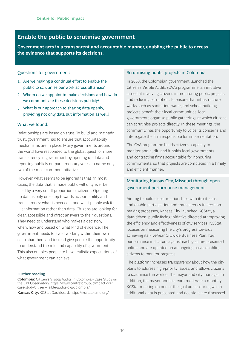#### **Enable the public to scrutinise government**

**Government acts in a transparent and accountable manner, enabling the public to access the evidence that supports its decisions.** 

#### Questions for government:

- 1. Are we making a continual effort to enable the public to scrutinise our work across all areas?
- 2. Whom do we appoint to make decisions and how do we communicate these decisions publicly?
- 3. What is our approach to sharing data openly, providing not only data but information as well?

#### What we found:

Relationships are based on trust. To build and maintain trust, government has to ensure that accountability mechanisms are in place. Many governments around the world have responded to the global quest for more transparency in government by opening up data and reporting publicly on parliamentary votes, to name only two of the most common initiatives.

However, what seems to be ignored is that, in most cases, the data that is made public will only ever be used by a very small proportion of citizens. Opening up data is only one step towards accountability and transparency: what is needed – and what people ask for – is information rather than data. Citizens are looking for clear, accessible and direct answers to their questions. They need to understand who makes a decision, when, how and based on what kind of evidence. The government needs to avoid working within their own echo chambers and instead give people the opportunity to understand the role and capability of government. This also enables people to have realistic expectations of what government can achieve.

#### **Further reading**

**Colombia:** Citizen's Visibla Audits in Colombia - Case Study on the CPI Observatory. https://www.centreforpublicimpact.org/ case-study/citizen-visible-audits-cva-colombia/ **Kansas City:** KCStat Dashboard. https://kcstat.kcmo.org/

#### Scrutinising public projects in Colombia

In 2008, the Colombian government launched the Citizen's Visible Audits (CVA) programme, an initiative aimed at involving citizens in monitoring public projects and reducing corruption. To ensure that infrastructure works such as sanitation, water, and school-building projects benefit their local communities, local governments organise public gatherings at which citizens can scrutinise projects directly. In these meetings, the community has the opportunity to voice its concerns and interrogate the firm responsible for implementation.

The CVA programme builds citizens' capacity to monitor and audit, and it holds local governments and contracting firms accountable for honouring commitments, so that projects are completed in a timely and efficient manner.

#### Monitoring Kansas City, Missouri through open government performance management

Aiming to build closer relationships with its citizens and enable participation and transparency in decisionmaking processes, Kansas City launched KCStat, a data-driven, public-facing initiative directed at improving the efficiency and effectiveness of city services. KCStat focuses on measuring the city's progress towards achieving its Five-Year Citywide Business Plan. Key performance indicators against each goal are presented online and are updated on an ongoing basis, enabling citizens to monitor progress.

The platform increases transparency about how the city plans to address high-priority issues, and allows citizens to scrutinise the work of the mayor and city manager. In addition, the mayor and his team moderate a monthly KCStat meeting on one of the goal areas, during which additional data is presented and decisions are discussed.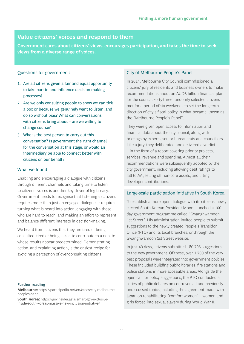#### **Value citizens' voices and respond to them**

**Government cares about citizens' views, encourages participation, and takes the time to seek views from a diverse range of voices.** 

#### Questions for government:

- 1. Are all citizens given a fair and equal opportunity to take part in and influence decision-making processes?
- 2. Are we only consulting people to show we can tick a box or because we genuinely want to listen, and do so without bias? What can conversations with citizens bring about – are we willing to change course?
- 3. Who is the best person to carry out this conversation? Is government the right channel for the conversation at this stage, or would an intermediary be able to connect better with citizens on our behalf?

#### What we found:

Enabling and encouraging a dialogue with citizens through different channels and taking time to listen to citizens' voices is another key driver of legitimacy. Government needs to recognise that listening to citizens requires more than just an engaged dialogue. It requires turning what is heard into action, engaging with those who are hard to reach, and making an effort to represent and balance different interests in decision-making.

We heard from citizens that they are tired of being consulted, tired of being asked to contribute to a debate whose results appear predetermined. Demonstrating action, and explaining action, is the easiest recipe for avoiding a perception of over-consulting citizens.

#### **Further reading**

**Melbourne:** https://participedia.net/en/cases/city-melbournepeoples-panel

**South Korea:** https://govinsider.asia/smart-gov/exclusiveinside-south-koreas-massive-new-inclusion-initiative/

#### City of Melbourne People's Panel

In 2014, Melbourne City Council commissioned a citizens' jury of residents and business owners to make recommendations about an AUD5 billion financial plan for the council. Forty-three randomly selected citizens met for a period of six weekends to set the long-term direction of city's fiscal policy in what became known as the "Melbourne People's Panel".

They were given open access to information and financial data about the city council, along with briefings by experts, senior bureaucrats and councillors. Like a jury, they deliberated and delivered a verdict – in the form of a report covering priority projects, services, revenue and spending. Almost all their recommendations were subsequently adopted by the city government, including allowing debt ratings to fall to AA, selling off non-core assets, and lifting developer contributions.

#### Large-scale participation initiative in South Korea

To establish a more open dialogue with its citizens, newly elected South Korean President Moon launched a 100 day government programme called "Gwanghwamoon 1st Street". His administration invited people to submit suggestions to the newly created People's Transition Office (PTO) and its local branches, or through the Gwanghwamoon 1st Street website.

In just 49 days, citizens submitted 180,705 suggestions to the new government. Of these, over 1,700 of the very best proposals were integrated into government policies. These included building public libraries, fire stations and police stations in more accessible areas. Alongside the open call for policy suggestions, the PTO conducted a series of public debates on controversial and previously undiscussed topics, including the agreement made with Japan on rehabilitating "comfort women" – women and girls forced into sexual slavery during World War II.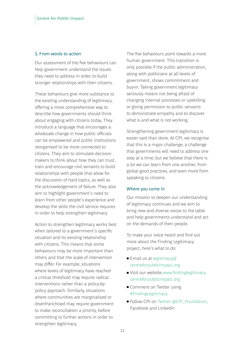#### 5. From words to action

Our assessment of the five behaviours can help government understand the issues they need to address in order to build stronger relationships with their citizens.

These behaviours give more substance to the existing understanding of legitimacy, offering a more comprehensive way to describe how governments should think about engaging with citizens today. They introduce a language that encourages a wholesale change in how public officials can be empowered and public institutions reorganised to be more connected to citizens. They aim to stimulate decisionmakers to think about how they can trust, train and encourage civil servants to build relationships with people that allow for the discussion of hard topics, as well as the acknowledgement of failure. They also aim to highlight government's need to learn from other people's experience and develop the skills the civil service requires in order to help strengthen legitimacy.

Action to strengthen legitimacy works best when tailored to a government's specific situation and its existing relationship with citizens. This means that some behaviours may be more important than others and that the scale of intervention may differ. For example, situations where levels of legitimacy have reached a critical threshold may require radical interventions rather than a policy-bypolicy approach. Similarly, situations where communities are marginalised or disenfranchised may require government to make reconciliation a priority, before committing to further actions in order to strengthen legitimacy.

The five behaviours point towards a more human government. This transition is only possible if the public administration, along with politicians at all levels of government, shows commitment and buy-in. Taking government legitimacy seriously means not being afraid of changing internal processes or upskilling or giving permission to public servants to demonstrate empathy and to discover what is and what is not working.

Strengthening government legitimacy is easier said than done. At CPI, we recognise that this is a major challenge, a challenge that governments will need to address one step at a time, but we believe that there is a lot we can learn from one another, from global good practices, and even more from speaking to citizens.

#### Where you come in

Our mission to deepen our understanding of legitimacy continues and we aim to bring new and diverse voices to the table and help governments understand and act on the demands of their people.

To make your voice heard and find out more about the Finding Legitimacy project, here's what to do:

- $\bullet$  Email us at legitimacy@ centreforpublicimpact.org
- Visit our website www.findinglegitimacy. centreforpublicimpact.org
- Comment on Twitter using #FindingLegitimacy
- Follow CPI on Twitter @CPI\_Foundation, Facebook and LinkedIn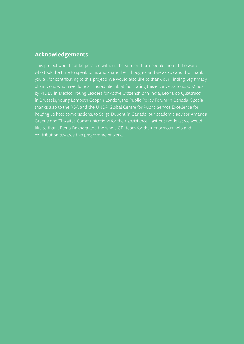#### **Acknowledgements**

This project would not be possible without the support from people around the world who took the time to speak to us and share their thoughts and views so candidly. Thank you all for contributing to this project! We would also like to thank our Finding Legitimacy champions who have done an incredible job at facilitating these conversations: C Minds by PIDES in Mexico, Young Leaders for Active Citizenship in India, Leonardo Quattrucci in Brussels, Young Lambeth Coop in London, the Public Policy Forum in Canada. Special thanks also to the RSA and the UNDP Global Centre for Public Service Excellence for helping us host conversations, to Serge Dupont in Canada, our academic advisor Amanda Greene and Thwaites Communications for their assistance. Last but not least we would like to thank Elena Bagnera and the whole CPI team for their enormous help and contribution towards this programme of work.